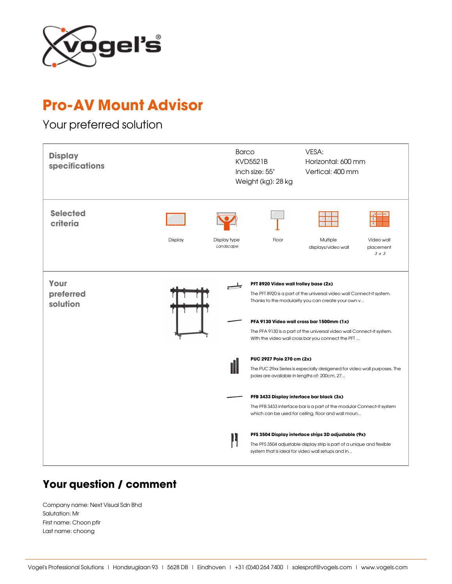

## Pro-AV Mount Advisor

## Your preferred solution



## Your question / comment

Company name: Next Visual Sdn Bhd Salutation: Mr First name: Choon pfir Last name: choong